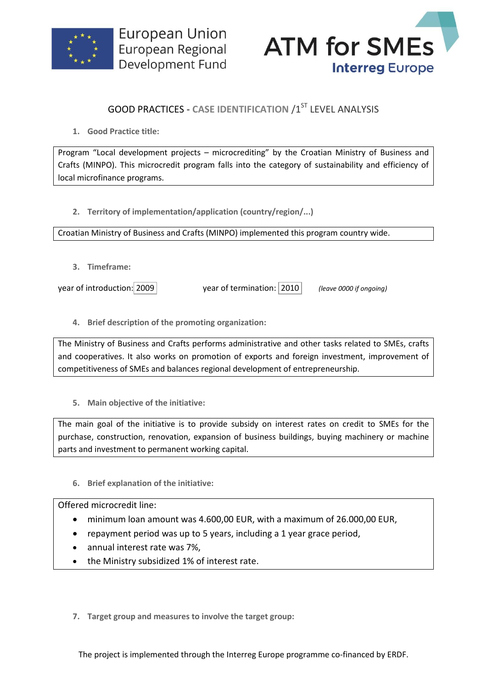



## **GOOD PRACTICES - CASE IDENTIFICATION /1ST LEVEL ANALYSIS**

**1. Good Practice title:**

Program "Local development projects – microcrediting" by the Croatian Ministry of Business and Crafts (MINPO). This microcredit program falls into the category of sustainability and efficiency of local microfinance programs.

**2. Territory of implementation/application (country/region/...)**

Croatian Ministry of Business and Crafts (MINPO) implemented this program country wide.

**3. Timeframe:**

year of introduction: 2009 year of termination: 2010 *(leave 0000 if ongoing)*

**4. Brief description of the promoting organization:**

The Ministry of Business and Crafts performs administrative and other tasks related to SMEs, crafts and cooperatives. It also works on promotion of exports and foreign investment, improvement of competitiveness of SMEs and balances regional development of entrepreneurship.

**5. Main objective of the initiative:**

The main goal of the initiative is to provide subsidy on interest rates on credit to SMEs for the purchase, construction, renovation, expansion of business buildings, buying machinery or machine parts and investment to permanent working capital.

**6. Brief explanation of the initiative:**

Offered microcredit line:

- minimum loan amount was 4.600,00 EUR, with a maximum of 26.000,00 EUR,
- repayment period was up to 5 years, including a 1 year grace period,
- annual interest rate was 7%,
- the Ministry subsidized 1% of interest rate.
- **7. Target group and measures to involve the target group:**